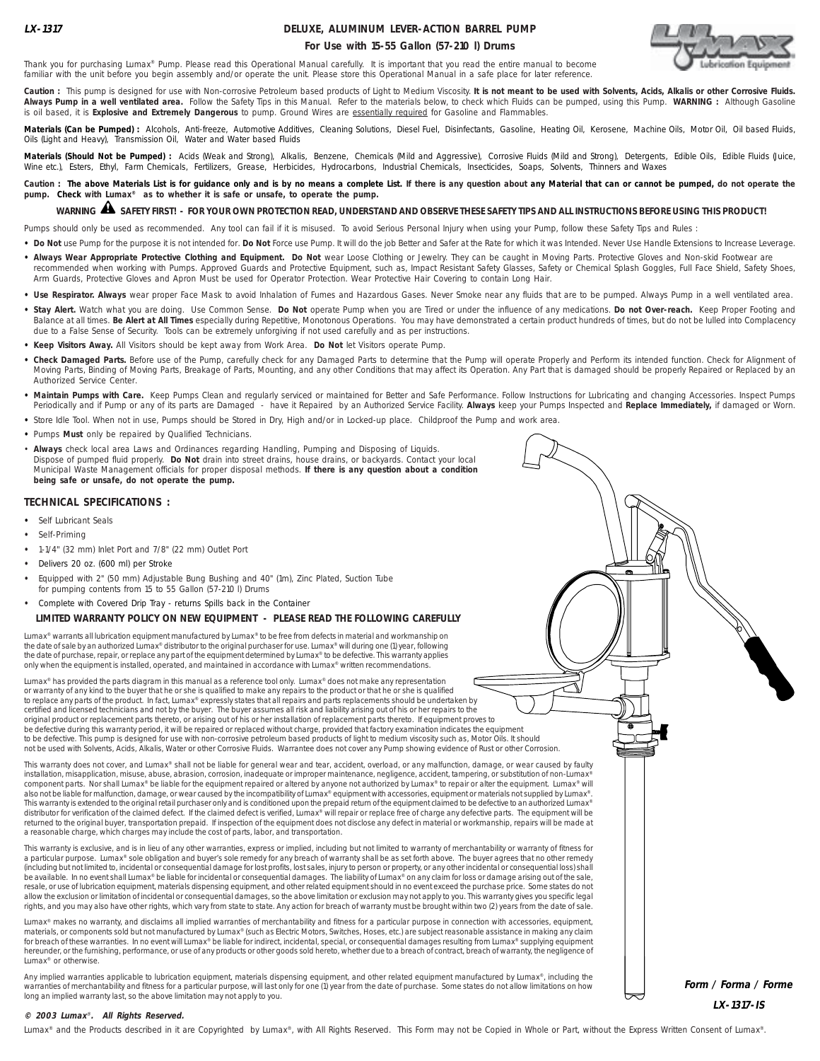# **DELUXE, ALUMINUM LEVER-ACTION BARREL PUMP**





Thank you for purchasing Lumax® Pump. Please read this Operational Manual carefully. It is important that you read the entire manual to become familiar with the unit before you begin assembly and/or operate the unit. Please store this Operational Manual in a safe place for later reference.

Caution : This pump is designed for use with Non-corrosive Petroleum based products of Light to Medium Viscosity. It is not meant to be used with Solvents, Acids, Alkalis or other Corrosive Fluids. **Always Pump in a well ventilated area.** Follow the Safety Tips in this Manual. Refer to the materials below, to check which Fluids can be pumped, using this Pump. **WARNING :** Although Gasoline is oil based, it is **Explosive and Extremely Dangerous** to pump. Ground Wires are essentially required for Gasoline and Flammables.

Materials (Can be Pumped) : Alcohols, Anti-freeze, Automotive Additives, Cleaning Solutions, Diesel Fuel, Disinfectants, Gasoline, Heating Oil, Kerosene, Machine Oils, Motor Oil, Oil based Fluids,<br>Oils (Light and Heavy), T

**Materials (Should Not be Pumped) :** Acids (Weak and Strong), Alkalis, Benzene, Chemicals (Mild and Aggressive), Corrosive Fluids (Mild and Strong), Detergents, Edible Oils, Edible Fluids (Juice, Wine etc.), Esters, Ethyl, Farm Chemicals, Fertilizers, Grease, Herbicides, Hydrocarbons, Industrial Chemicals, Insecticides, Soaps, Solvents, Thinners and Waxes

Caution : The above Materials List is for guidance only and is by no means a complete List. If there is any question about any Material that can or cannot be pumped, do not operate the **pump. Check with Lumax® as to whether it is safe or unsafe, to operate the pump.**

# **WARNING SAFETY FIRST! - FOR YOUR OWN PROTECTION READ, UNDERSTAND AND OBSERVE THESE SAFETY TIPS AND ALL INSTRUCTIONS BEFORE USING THIS PRODUCT!** !

Pumps should only be used as recommended. Any tool can fail if it is misused. To avoid Serious Personal Injury when using your Pump, follow these Safety Tips and Rules :

- . Do Not use Pump for the purpose it is not intended for. Do Not Force use Pump. It will do the job Better and Safer at the Rate for which it was Intended. Never Use Handle Extensions to Increase Leverage.
- . Always Wear Appropriate Protective Clothing and Equipment. Do Not wear Loose Clothing or Jewelry. They can be caught in Moving Parts. Protective Gloves and Non-skid Footwear are recommended when working with Pumps. Approved Guards and Protective Equipment, such as, Impact Resistant Safety Glasses, Safety or Chemical Splash Goggles, Full Face Shield, Safety Shoes, Arm Guards, Protective Gloves and Apron Must be used for Operator Protection. Wear Protective Hair Covering to contain Long Hair.
- Use Respirator. Always wear proper Face Mask to avoid Inhalation of Fumes and Hazardous Gases. Never Smoke near any fluids that are to be pumped. Always Pump in a well ventilated area.
- **• Stay Alert.** Watch what you are doing. Use Common Sense. **Do Not** operate Pump when you are Tired or under the influence of any medications. **Do not Over-reach.** Keep Proper Footing and Balance at all times. **Be Alert at All Times** especially during Repetitive, Monotonous Operations. You may have demonstrated a certain product hundreds of times, but do not be lulled into Complacency due to a False Sense of Security. Tools can be extremely unforgiving if not used carefully and as per instructions.
- **• Keep Visitors Away.** All Visitors should be kept away from Work Area. **Do Not** let Visitors operate Pump.
- **• Check Damaged Parts.** Before use of the Pump, carefully check for any Damaged Parts to determine that the Pump will operate Properly and Perform its intended function. Check for Alignment of Moving Parts, Binding of Moving Parts, Breakage of Parts, Mounting, and any other Conditions that may affect its Operation. Any Part that is damaged should be properly Repaired or Replaced by an Authorized Service Center.
- **• Maintain Pumps with Care.** Keep Pumps Clean and regularly serviced or maintained for Better and Safe Performance. Follow Instructions for Lubricating and changing Accessories. Inspect Pumps Periodically and if Pump or any of its parts are Damaged - have it Repaired by an Authorized Service Facility. **Always** keep your Pumps Inspected and **Replace Immediately,** if damaged or Worn.
- **•** Store Idle Tool. When not in use, Pumps should be Stored in Dry, High and/or in Locked-up place. Childproof the Pump and work area.
- **•** Pumps **Must** only be repaired by Qualified Technicians.
- **Always** check local area Laws and Ordinances regarding Handling, Pumping and Disposing of Liquids. Dispose of pumped fluid properly. **Do Not** drain into street drains, house drains, or backyards. Contact your local Municipal Waste Management officials for proper disposal methods. **If there is any question about a condition being safe or unsafe, do not operate the pump.**

### **TECHNICAL SPECIFICATIONS :**

- **•** Self Lubricant Seals
- **•** Self-Priming
- **•** 1-1/4" (32 mm) Inlet Port and 7/8" (22 mm) Outlet Port
- **•** Delivers 20 oz. (600 ml) per Stroke
- **•** Equipped with 2" (50 mm) Adjustable Bung Bushing and 40" (1m), Zinc Plated, Suction Tube for pumping contents from 15 to 55 Gallon (57-210 l) Drums
- **•** Complete with Covered Drip Tray returns Spills back in the Container

#### **LIMITED WARRANTY POLICY ON NEW EQUIPMENT - PLEASE READ THE FOLLOWING CAREFULLY**

Lumax® warrants all lubrication equipment manufactured by Lumax® to be free from defects in material and workmanship on the date of sale by an authorized Lumax® distributor to the original purchaser for use. Lumax® will during one (1) year, following<br>the date of purchase, repair, or replace any part of the equipment determined by Lumax® to only when the equipment is installed, operated, and maintained in accordance with Lumax® written recommendations.

Lumax® has provided the parts diagram in this manual as a reference tool only. Lumax® does not make any representation<br>or warranty of any kind to the buyer that he or she is qualified to make any repairs to the product or to replace any parts of the product. In fact, Lumax® expressly states that all repairs and parts replacements should be undertaken by certified and licensed technicians and not by the buyer. The buyer assumes all risk and liability arising out of his or her repairs to the original product or replacement parts thereto, or arising out of his or her installation of replacement parts thereto. If equipment proves to be defective during this warranty period, it will be repaired or replaced without charge, provided that factory examination indicates the equipment to be defective. This pump is designed for use with non-corrosive petroleum based products of light to medium viscosity such as, Motor Oils. It should not be used with Solvents, Acids, Alkalis, Water or other Corrosive Fluids. Warrantee does not cover any Pump showing evidence of Rust or other Corrosion.

This warranty does not cover, and Lumax® shall not be liable for general wear and tear, accident, overload, or any malfunction, damage, or wear caused by faulty installation, misapplication, misuse, abuse, abrasion, corrosion, inadequate or improper maintenance, negligence, accident, tampering, or substitution of non-Lumax component parts. Nor shall Lumax® be liable for the equipment repaired or altered by anyone not authorized by Lumax® to repair or alter the equipment. Lumax® will also not be liable for malfunction, damage, or wear caused by the incompatibility of Lumax® equipment with accessories, equipment or materials not supplied by Lumax®.<br>This warranty is extended to the original retail purcha distributor for verification of the claimed defect. If the claimed defect is verified, Lumax® will repair or replace free of charge any defective parts. The equipment will be returned to the original buyer, transportation prepaid. If inspection of the equipment does not disclose any defect in material or workmanship, repairs will be made at a reasonable charge, which charges may include the cost of parts, labor, and transportation.

This warranty is exclusive, and is in lieu of any other warranties, express or implied, including but not limited to warranty of merchantability or warranty of fitness for a particular purpose. Lumax® sole obligation and buyer's sole remedy for any breach of warranty shall be as set forth above. The buyer agrees that no other remedy<br>(including but not limited to, incidental or consequential be available. In no event shall Lumax® be liable for incidental or consequential damages. The liability of Lumax® on any claim for loss or damage arising out of the sale, resale, or use of lubrication equipment, materials dispensing equipment, and other related equipment should in no event exceed the purchase price. Some states do not allow the exclusion or limitation of incidental or consequential damages, so the above limitation or exclusion may not apply to you. This warranty gives you specific legal rights, and you may also have other rights, which vary from state to state. Any action for breach of warranty must be brought within two (2) years from the date of sale.

Lumax® makes no warranty, and disclaims all implied warranties of merchantability and fitness for a particular purpose in connection with accessories, equipment, materials, or components sold but not manufactured by Lumax® (such as Electric Motors, Switches, Hoses, etc.) are subject reasonable assistance in making any claim for breach of these warranties. In no event will Lumax® be liable for indirect, incidental, special, or consequential damages resulting from Lumax® supplying equipment hereunder, or the furnishing, performance, or use of any products or other goods sold hereto, whether due to a breach of contract, breach of warranty, the negligence of Lumax® or otherwise.

Any implied warranties applicable to lubrication equipment, materials dispensing equipment, and other related equipment manufactured by Lumax®, including the warranties of merchantability and fitness for a particular purpose, will last only for one (1) year from the date of purchase. Some states do not allow limitations on how long an implied warranty last, so the above limitation may not apply to you.

**Form / Forma / Forme LX-1317-IS**

One of the contract of the contract of the contract of the contract of the contract of the contract of the contract of the contract of the contract of the contract of the contract of the contract of the contract of the con

#### **© 2003 Lumax**® **. All Rights Reserved.**

Lumax® and the Products described in it are Copyrighted by Lumax®, with All Rights Reserved. This Form may not be Copied in Whole or Part, without the Express Written Consent of Lumax®.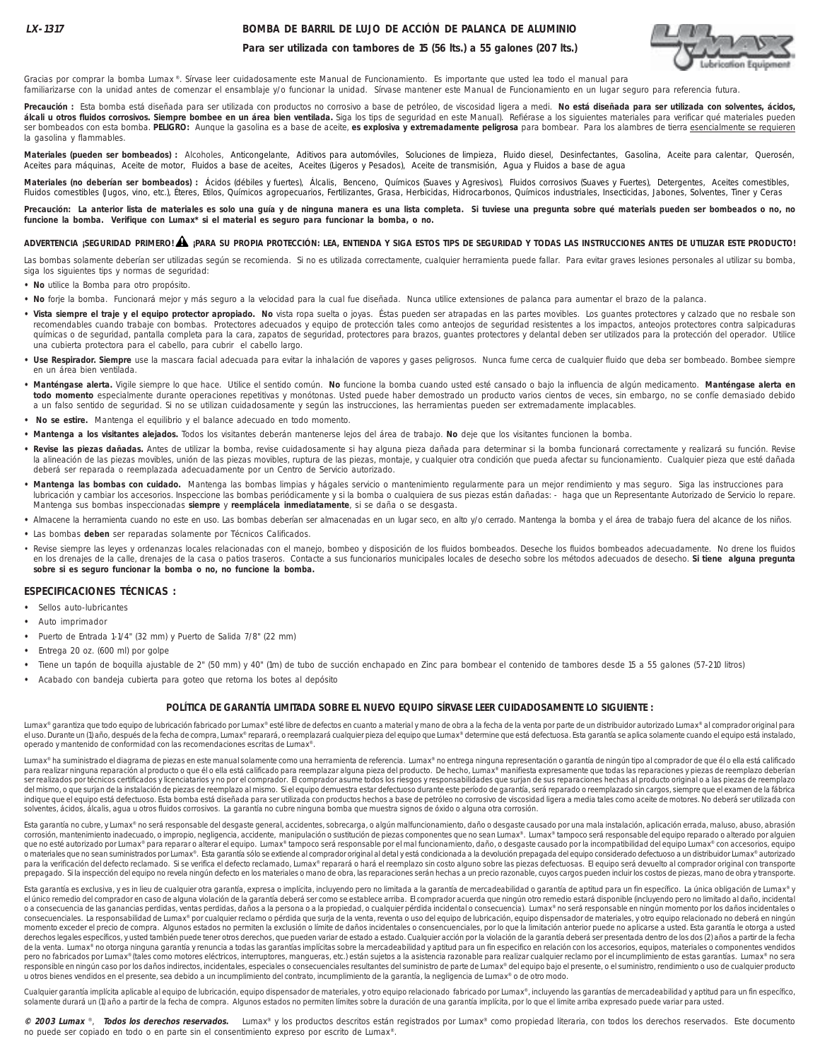### **BOMBA DE BARRIL DE LUJO DE ACCIÓN DE PALANCA DE ALUMINIO**



**Para ser utilizada con tambores de 15 (56 lts.) a 55 galones (207 lts.)**

Gracias por comprar la bomba Lumax ®. Sírvase leer cuidadosamente este Manual de Funcionamiento. Es importante que usted lea todo el manual para familiarizarse con la unidad antes de comenzar el ensamblaje y/o funcionar la unidad. Sírvase mantener este Manual de Funcionamiento en un lugar seguro para referencia futura.

**Precaución :** Esta bomba está diseñada para ser utilizada con productos no corrosivo a base de petróleo, de viscosidad ligera a medi. **No está diseñada para ser utilizada con solventes, ácidos, álcali u otros fluidos corrosivos. Siempre bombee en un área bien ventilada.** Siga los tips de seguridad en este Manual). Refiérase a los siguientes materiales para verificar qué materiales pueden ser bombeados con esta bomba. **PELIGRO:** Aunque la gasolina es a base de aceite, **es explosiva y extremadamente peligrosa** para bombear. Para los alambres de tierra esencialmente se requieren la gasolina y flammables.

Materiales (pueden ser bombeados) : Alcoholes, Anticongelante, Aditivos para automóviles, Soluciones de limpieza, Fluido diesel, Desinfectantes, Gasolina, Aceite para calentar, Querosén, Aceites para máquinas, Aceite de motor, Fluidos a base de aceites, Aceites (Ligeros y Pesados), Aceite de transmisión, Agua y Fluidos a base de agua

**Materiales (no deberían ser bombeados) :** Ácidos (débiles y fuertes), Álcalis, Benceno, Químicos (Suaves y Agresivos), Fluidos corrosivos (Suaves y Fuertes), Detergentes, Aceites comestibles, Fluidos comestibles (Jugos, vino, etc.), Éteres, Etilos, Químicos agropecuarios, Fertilizantes, Grasa, Herbicidas, Hidrocarbonos, Químicos industriales, Insecticidas, Jabones, Solventes, Tiner y Ceras

Precaución: La anterior lista de materiales es solo una guía y de ninguna manera es una lista completa. Si tuviese una pregunta sobre qué materials pueden ser bombeados o no, no **funcione la bomba. Verifique con Lumax\* si el material es seguro para funcionar la bomba, o no.**

## **ADVERTENCIA ¡SEGURIDAD PRIMERO! ¡PARA SU PROPIA PROTECCIÓN: LEA, ENTIENDA Y SIGA ESTOS TIPS DE SEGURIDAD Y TODAS LAS INSTRUCCIONES ANTES DE UTILIZAR ESTE PRODUCTO!** !

Las bombas solamente deberían ser utilizadas según se recomienda. Si no es utilizada correctamente, cualquier herramienta puede fallar. Para evitar graves lesiones personales al utilizar su bomba, siga los siguientes tips y normas de seguridad:

- **No** utilice la Bomba para otro propósito.
- **No** forje la bomba. Funcionará mejor y más seguro a la velocidad para la cual fue diseñada. Nunca utilice extensiones de palanca para aumentar el brazo de la palanca.
- · Vista siempre el traje y el equipo protector apropiado. No vista ropa suelta o joyas. Éstas pueden ser atrapadas en las partes movibles. Los guantes protectores y calzado que no resbale son recomendables cuando trabaje con bombas. Protectores adecuados y equipo de protección tales como anteojos de seguridad resistentes a los impactos, anteojos protectores contra salpicaduras químicas o de seguridad, pantalla completa para la cara, zapatos de seguridad, protectores para brazos, guantes protectores y delantal deben ser utilizados para la protección del operador. Utilice una cubierta protectora para el cabello, para cubrir el cabello largo.
- · Use Respirador. Siempre use la mascara facial adecuada para evitar la inhalación de vapores y gases peligrosos. Nunca fume cerca de cualquier fluido que deba ser bombeado. Bombee siempre en un área bien ventilada.
- **Manténgase alerta.** Vigile siempre lo que hace. Utilice el sentido común. **No** funcione la bomba cuando usted esté cansado o bajo la influencia de algún medicamento. **Manténgase alerta en todo momento** especialmente durante operaciones repetitivas y monótonas. Usted puede haber demostrado un producto varios cientos de veces, sin embargo, no se confíe demasiado debido a un falso sentido de seguridad. Si no se utilizan cuidadosamente y según las instrucciones, las herramientas pueden ser extremadamente implacables.
- **No se estire.** Mantenga el equilibrio y el balance adecuado en todo momento.
- **Mantenga a los visitantes alejados.** Todos los visitantes deberán mantenerse lejos del área de trabajo. **No** deje que los visitantes funcionen la bomba.
- · Revise las piezas dañadas. Antes de utilizar la bomba, revise cuidadosamente si hay alguna pieza dañada para determinar si la bomba funcionará correctamente y realizará su función. Revise la alineación de las piezas movibles, unión de las piezas movibles, ruptura de las piezas, montaje, y cualquier otra condición que pueda afectar su funcionamiento. Cualquier pieza que esté dañada deberá ser reparada o reemplazada adecuadamente por un Centro de Servicio autorizado.
- **Mantenga las bombas con cuidado.** Mantenga las bombas limpias y hágales servicio o mantenimiento regularmente para un mejor rendimiento y mas seguro. Siga las instrucciones para lubricación y cambiar los accesorios. Inspeccione las bombas periódicamente y si la bomba o cualquiera de sus piezas están dañadas: - haga que un Representante Autorizado de Servicio lo repare. Mantenga sus bombas inspeccionadas **siempre** y **reemplácela inmediatamente**, si se daña o se desgasta.
- **•** Almacene la herramienta cuando no este en uso. Las bombas deberían ser almacenadas en un lugar seco, en alto y/o cerrado. Mantenga la bomba y el área de trabajo fuera del alcance de los niños.
- **•** Las bombas **deben** ser reparadas solamente por Técnicos Calificados.
- Revise siempre las leyes y ordenanzas locales relacionadas con el manejo, bombeo y disposición de los fluidos bombeados. Deseche los fluidos bombeados adecuadamente. No drene los fluidos en los drenajes de la calle, drenajes de la casa o patios traseros. Contacte a sus funcionarios municipales locales de desecho sobre los métodos adecuados de desecho. **Si tiene alguna pregunta sobre si es seguro funcionar la bomba o no, no funcione la bomba.**

#### **ESPECIFICACIONES TÉCNICAS :**

- **•** Sellos auto-lubricantes
- **•** Auto imprimador
- **•** Puerto de Entrada 1-1/4" (32 mm) y Puerto de Salida 7/8" (22 mm)
- **•** Entrega 20 oz. (600 ml) por golpe
- Tiene un tapón de boquilla ajustable de 2" (50 mm) y 40" (1m) de tubo de succión enchapado en Zinc para bombear el contenido de tambores desde 15 a 55 galones (57-210 litros)
- **•** Acabado con bandeja cubierta para goteo que retorna los botes al depósito

#### **POLÍTICA DE GARANTÍA LIMITADA SOBRE EL NUEVO EQUIPO SÍRVASE LEER CUIDADOSAMENTE LO SIGUIENTE :**

Lumax® garantiza que todo equipo de lubricación fabricado por Lumax® esté libre de defectos en cuanto a material y mano de obra a la fecha de la venta por parte de un distribuidor autorizado Lumax® al comprador original pa el uso. Durante un (1) año, después de la fecha de compra, Lumax® reparará, o reemplazará cualquier pieza del equipo que Lumax® determine que está defectuosa. Esta garantía se aplica solamente cuando el equipo está instala operado y mantenido de conformidad con las recomendaciones escritas de Lumax®.

Lumax® ha suministrado el diagrama de piezas en este manual solamente como una herramienta de referencia. Lumax® no entrega ninguna representación o garantía de ningún tipo al comprador de que él o ella está calificado para realizar ninguna reparación al producto o que él o ella está calificado para reemplazar alguna pieza del producto. De hecho, Lumax® manifiesta expresamente que todas las reparaciones y piezas de reemplazo deberían ser realizados por técnicos certificados y licenciatarios y no por el comprador. El comprador asume todos los riesgos y responsabilidades que surjan de sus reparaciones hechas al producto original o a las piezas de reemplazo del mismo, o que surjan de la instalación de piezas de reemplazo al mismo. Si el equipo demuestra estar defectuoso durante este período de garantía, será reparado o reemplazado sin cargos, siempre que el examen de la fábrica indique que el equipo está defectuoso. Esta bomba está diseñada para ser utilizada con productos hechos a base de petróleo no corrosivo de viscosidad ligera a media tales como aceite de motores. No deberá ser utilizada con solventes, ácidos, álcalis, agua u otros fluidos corrosivos. La garantía no cubre ninguna bomba que muestra signos de óxido o alguna otra corrosión.

Esta garantía no cubre, y Lumax® no será responsable del desgaste general, accidentes, sobrecarga, o algún malfuncionamiento, daño o desgaste causado por una mala instalación, aplicación errada, maluso, abuso, abrasión corrosión, mantenimiento inadecuado, o impropio, negligencia, accidente, manipulación o sustitución de piezas componentes que no sean Lumax®. Lumax® tampoco será responsable del equipo reparado o alterado por alguien que no esté autorizado por Lumax® para reparar o alterar el equipo. Lumax® tampoco será responsable por el mal funcionamiento, daño, o desgaste causado por la incompatibilidad del equipo Lumax® con accesorios, equipo o materiales que no sean suministrados por Lumax®. Esta garantía sólo se extiende al comprador original al detal y está condicionada a la devolución prepagada del equipo considerado defectuoso a un distribuidor Lumax® auto prepagado. Si la inspección del equipo no revela ningún defecto en los materiales o mano de obra, las reparaciones serán hechas a un precio razonable, cuyos cargos pueden incluir los costos de piezas, mano de obra y transp

Esta garantía es exclusiva, y es in lieu de cualquier otra garantía, expresa o implícita, incluyendo pero no limitada a la garantía de mercadeabilidad o garantía de aptitud para un fin específico. La única obligación de Lu el único remedio del comprador en caso de alguna violación de la garantía deberá ser como se establece arriba. El comprador acuerda que ningún otro remedio estará disponible (incluyendo pero no limitado al daño, incidental o a consecuencia de las ganancias perdidas, ventas perdidas, daños a la persona o a la propiedad, o cualquier pérdida incidental o consecuencia). Lumax® no será responsable en ningún momento por los daños incidentales o consecuenciales. La responsabilidad de Lumax® por cualquier reclamo o pérdida que surja de la venta, reventa o uso del equipo de lubricación, equipo nispensador de materiales, y otro equipo relacionado no deberá en ningún<br> derechos legales específicos, y usted también puede tener otros derechos, que pueden variar de estado a estado. Cualquier acción por la violación de la garantía deberá ser presentada dentro de los dos (2) años a partir de de la venta. Lumax® no otorga ninguna garantía y renuncia a todas las garantías implícitas sobre la mercadeabilidad y aptitud para un fin especifico en relación con los accesorios, equipos, materiales o componentes vendido pero no fabricados por Lumax® (tales como motores eléctricos, interruptores, mangueras, etc.) están sujetos a la asistencia razonable para realizar cualquier reclamo por el incumplimiento de estas garantías. Lumax® no sera .<br>responsible en ningún caso por los daños indirectos, incidentales, especiales o consecuenciales resultantes del suministro de parte de Lumax® del equipo bajo el presente, o el suministro, rendimiento o uso de cualquier p u otros bienes vendidos en el presente, sea debido a un incumplimiento del contrato, incumplimiento de la garantía, la negligencia de Lumax® o de otro modo.

Cualquier garantía implícita aplicable al equipo de lubricación, equipo dispensador de materiales, y otro equipo relacionado fabricado por Lumax®, incluyendo las garantías de mercadeabilidad y aptitud para un fin específic solamente durará un (1) año a partir de la fecha de compra. Algunos estados no permiten límites sobre la duración de una garantía implícita, por lo que el limite arriba expresado puede variar para usted.

**© 2003 Lumax** ®, **Todos los derechos reservados.** Lumax® y los productos descritos están registrados por Lumax® como propiedad literaria, con todos los derechos reservados. Este documento no puede ser copiado en todo o en parte sin el consentimiento expreso por escrito de Lumax®.